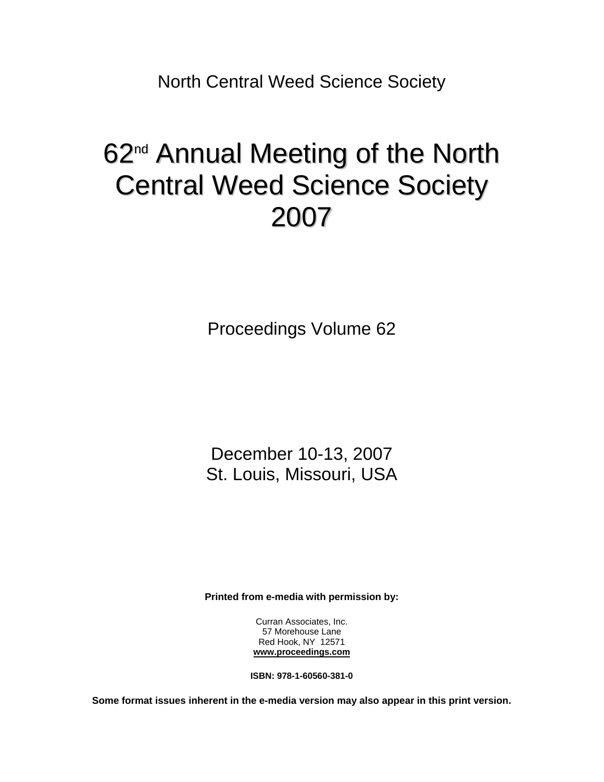North Central Weed Science Society

# $62<sup>nd</sup>$  Annual Meeting of the North Central Weed Science Society 2007

Proceedings Volume 62

December 10-13, 2007 St. Louis, Missouri, USA

**Printed from e-media with permission by:** 

Curran Associates, Inc. 57 Morehouse Lane Red Hook, NY 12571 **[www.proceedings.com](http://www.proceedings.com/)**

**ISBN: 978-1-60560-381-0** 

**Some format issues inherent in the e-media version may also appear in this print version.**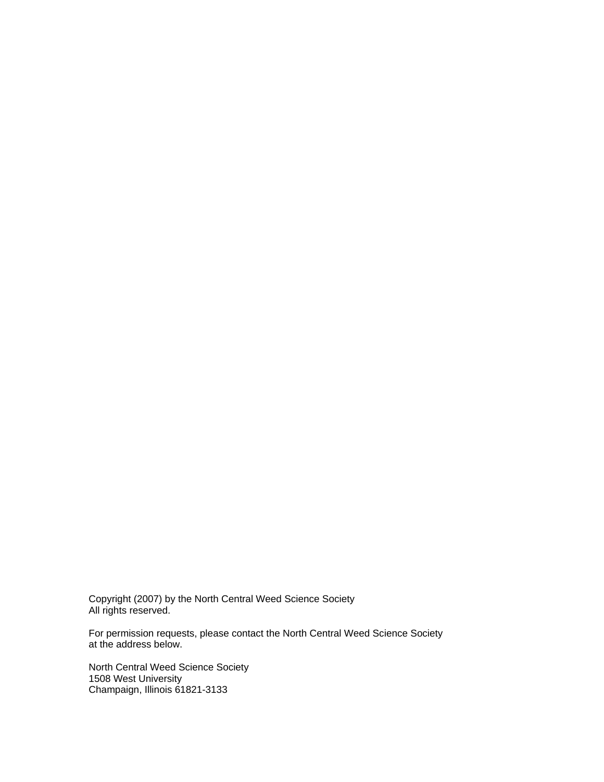Copyright (2007) by the North Central Weed Science Society All rights reserved.

For permission requests, please contact the North Central Weed Science Society at the address below.

North Central Weed Science Society 1508 West University Champaign, Illinois 61821-3133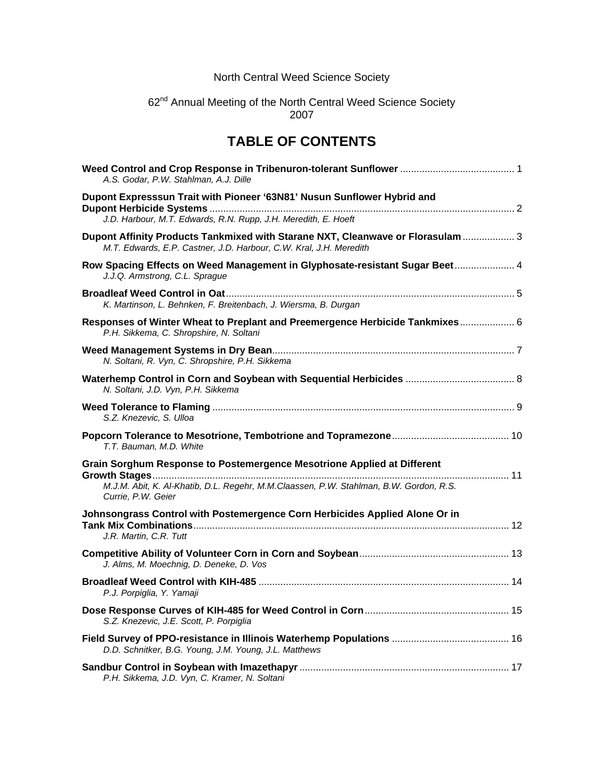### North Central Weed Science Society

#### 62<sup>nd</sup> Annual Meeting of the North Central Weed Science Society 2007

## **TABLE OF CONTENTS**

| A.S. Godar, P.W. Stahlman, A.J. Dille                                                                                                                                                   |  |
|-----------------------------------------------------------------------------------------------------------------------------------------------------------------------------------------|--|
| Dupont Expresssun Trait with Pioneer '63N81' Nusun Sunflower Hybrid and                                                                                                                 |  |
| J.D. Harbour, M.T. Edwards, R.N. Rupp, J.H. Meredith, E. Hoeft                                                                                                                          |  |
| Dupont Affinity Products Tankmixed with Starane NXT, Cleanwave or Florasulam  3<br>M.T. Edwards, E.P. Castner, J.D. Harbour, C.W. Kral, J.H. Meredith                                   |  |
| Row Spacing Effects on Weed Management in Glyphosate-resistant Sugar Beet 4<br>J.J.Q. Armstrong, C.L. Sprague                                                                           |  |
| K. Martinson, L. Behnken, F. Breitenbach, J. Wiersma, B. Durgan                                                                                                                         |  |
| Responses of Winter Wheat to Preplant and Preemergence Herbicide Tankmixes 6<br>P.H. Sikkema, C. Shropshire, N. Soltani                                                                 |  |
| N. Soltani, R. Vyn, C. Shropshire, P.H. Sikkema                                                                                                                                         |  |
| N. Soltani, J.D. Vyn, P.H. Sikkema                                                                                                                                                      |  |
| S.Z. Knezevic, S. Ulloa                                                                                                                                                                 |  |
| T.T. Bauman, M.D. White                                                                                                                                                                 |  |
| Grain Sorghum Response to Postemergence Mesotrione Applied at Different<br>M.J.M. Abit, K. Al-Khatib, D.L. Regehr, M.M.Claassen, P.W. Stahlman, B.W. Gordon, R.S.<br>Currie, P.W. Geier |  |
| Johnsongrass Control with Postemergence Corn Herbicides Applied Alone Or in<br>J.R. Martin, C.R. Tutt                                                                                   |  |
| J. Alms, M. Moechnig, D. Deneke, D. Vos                                                                                                                                                 |  |
| P.J. Porpiglia, Y. Yamaji                                                                                                                                                               |  |
| S.Z. Knezevic, J.E. Scott, P. Porpiglia                                                                                                                                                 |  |
| D.D. Schnitker, B.G. Young, J.M. Young, J.L. Matthews                                                                                                                                   |  |
| P.H. Sikkema, J.D. Vyn, C. Kramer, N. Soltani                                                                                                                                           |  |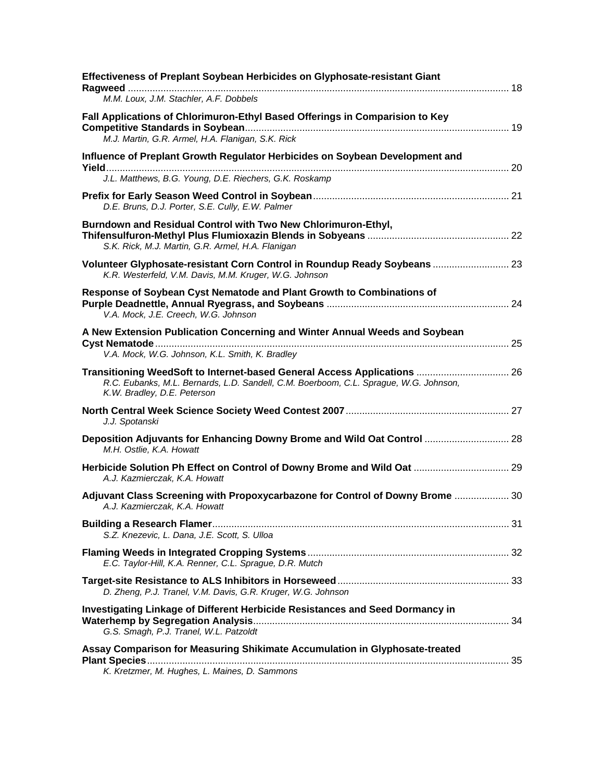| Effectiveness of Preplant Soybean Herbicides on Glyphosate-resistant Giant<br>M.M. Loux, J.M. Stachler, A.F. Dobbels                                                                             |  |
|--------------------------------------------------------------------------------------------------------------------------------------------------------------------------------------------------|--|
| Fall Applications of Chlorimuron-Ethyl Based Offerings in Comparision to Key<br>M.J. Martin, G.R. Armel, H.A. Flanigan, S.K. Rick                                                                |  |
| Influence of Preplant Growth Regulator Herbicides on Soybean Development and<br>J.L. Matthews, B.G. Young, D.E. Riechers, G.K. Roskamp                                                           |  |
| D.E. Bruns, D.J. Porter, S.E. Cully, E.W. Palmer                                                                                                                                                 |  |
| Burndown and Residual Control with Two New Chlorimuron-Ethyl,<br>S.K. Rick, M.J. Martin, G.R. Armel, H.A. Flanigan                                                                               |  |
| Volunteer Glyphosate-resistant Corn Control in Roundup Ready Soybeans  23<br>K.R. Westerfeld, V.M. Davis, M.M. Kruger, W.G. Johnson                                                              |  |
| Response of Soybean Cyst Nematode and Plant Growth to Combinations of<br>V.A. Mock, J.E. Creech, W.G. Johnson                                                                                    |  |
| A New Extension Publication Concerning and Winter Annual Weeds and Soybean<br>V.A. Mock, W.G. Johnson, K.L. Smith, K. Bradley                                                                    |  |
| Transitioning WeedSoft to Internet-based General Access Applications  26<br>R.C. Eubanks, M.L. Bernards, L.D. Sandell, C.M. Boerboom, C.L. Sprague, W.G. Johnson,<br>K.W. Bradley, D.E. Peterson |  |
| J.J. Spotanski                                                                                                                                                                                   |  |
| Deposition Adjuvants for Enhancing Downy Brome and Wild Oat Control  28<br>M.H. Ostlie, K.A. Howatt                                                                                              |  |
| Herbicide Solution Ph Effect on Control of Downy Brome and Wild Oat  29<br>A.J. Kazmierczak, K.A. Howatt                                                                                         |  |
| Adjuvant Class Screening with Propoxycarbazone for Control of Downy Brome  30<br>A.J. Kazmierczak, K.A. Howatt                                                                                   |  |
| S.Z. Knezevic, L. Dana, J.E. Scott, S. Ulloa                                                                                                                                                     |  |
| E.C. Taylor-Hill, K.A. Renner, C.L. Sprague, D.R. Mutch                                                                                                                                          |  |
| D. Zheng, P.J. Tranel, V.M. Davis, G.R. Kruger, W.G. Johnson                                                                                                                                     |  |
| Investigating Linkage of Different Herbicide Resistances and Seed Dormancy in<br>G.S. Smagh, P.J. Tranel, W.L. Patzoldt                                                                          |  |
| Assay Comparison for Measuring Shikimate Accumulation in Glyphosate-treated<br>K. Kretzmer, M. Hughes, L. Maines, D. Sammons                                                                     |  |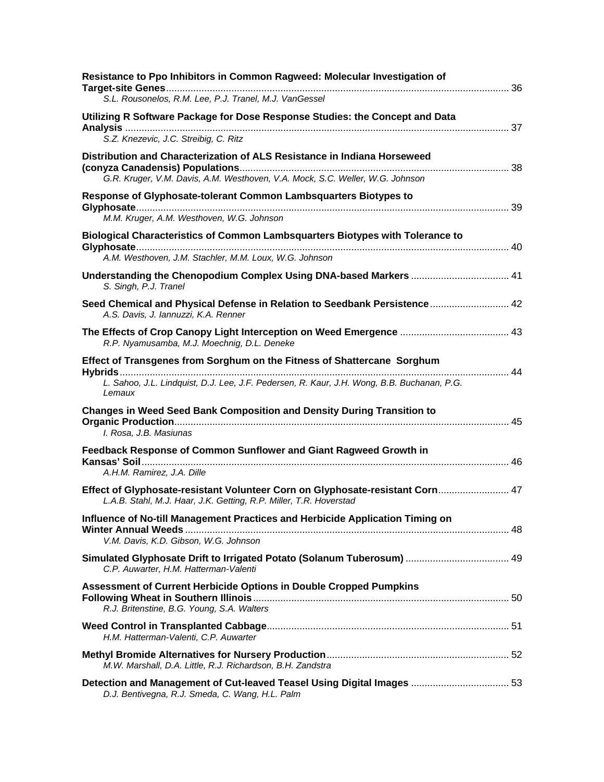| Resistance to Ppo Inhibitors in Common Ragweed: Molecular Investigation of                                                                                |  |
|-----------------------------------------------------------------------------------------------------------------------------------------------------------|--|
| S.L. Rousonelos, R.M. Lee, P.J. Tranel, M.J. VanGessel                                                                                                    |  |
| Utilizing R Software Package for Dose Response Studies: the Concept and Data                                                                              |  |
| S.Z. Knezevic, J.C. Streibig, C. Ritz                                                                                                                     |  |
| Distribution and Characterization of ALS Resistance in Indiana Horseweed<br>G.R. Kruger, V.M. Davis, A.M. Westhoven, V.A. Mock, S.C. Weller, W.G. Johnson |  |
|                                                                                                                                                           |  |
| Response of Glyphosate-tolerant Common Lambsquarters Biotypes to<br>M.M. Kruger, A.M. Westhoven, W.G. Johnson                                             |  |
|                                                                                                                                                           |  |
| Biological Characteristics of Common Lambsquarters Biotypes with Tolerance to<br>A.M. Westhoven, J.M. Stachler, M.M. Loux, W.G. Johnson                   |  |
|                                                                                                                                                           |  |
| S. Singh, P.J. Tranel                                                                                                                                     |  |
| Seed Chemical and Physical Defense in Relation to Seedbank Persistence 42<br>A.S. Davis, J. lannuzzi, K.A. Renner                                         |  |
| R.P. Nyamusamba, M.J. Moechnig, D.L. Deneke                                                                                                               |  |
| Effect of Transgenes from Sorghum on the Fitness of Shattercane Sorghum                                                                                   |  |
| L. Sahoo, J.L. Lindquist, D.J. Lee, J.F. Pedersen, R. Kaur, J.H. Wong, B.B. Buchanan, P.G.<br>Lemaux                                                      |  |
| Changes in Weed Seed Bank Composition and Density During Transition to<br>I. Rosa, J.B. Masiunas                                                          |  |
| Feedback Response of Common Sunflower and Giant Ragweed Growth in                                                                                         |  |
| A.H.M. Ramirez, J.A. Dille                                                                                                                                |  |
| Effect of Glyphosate-resistant Volunteer Corn on Glyphosate-resistant Corn 47<br>L.A.B. Stahl, M.J. Haar, J.K. Getting, R.P. Miller, T.R. Hoverstad       |  |
| Influence of No-till Management Practices and Herbicide Application Timing on                                                                             |  |
| V.M. Davis, K.D. Gibson, W.G. Johnson                                                                                                                     |  |
| Simulated Glyphosate Drift to Irrigated Potato (Solanum Tuberosum)  49<br>C.P. Auwarter, H.M. Hatterman-Valenti                                           |  |
| Assessment of Current Herbicide Options in Double Cropped Pumpkins<br>R.J. Britenstine, B.G. Young, S.A. Walters                                          |  |
| H.M. Hatterman-Valenti, C.P. Auwarter                                                                                                                     |  |
| M.W. Marshall, D.A. Little, R.J. Richardson, B.H. Zandstra                                                                                                |  |
| D.J. Bentivegna, R.J. Smeda, C. Wang, H.L. Palm                                                                                                           |  |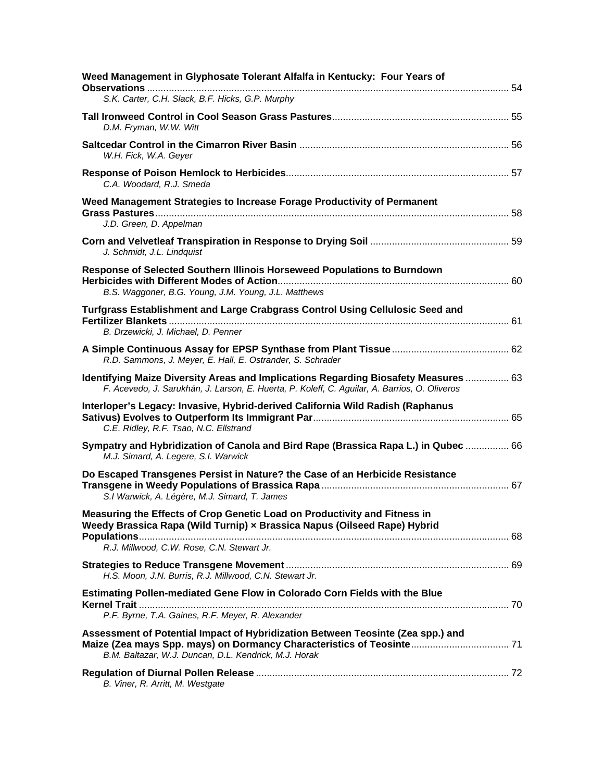| Weed Management in Glyphosate Tolerant Alfalfa in Kentucky: Four Years of                                                                                                                                         |  |
|-------------------------------------------------------------------------------------------------------------------------------------------------------------------------------------------------------------------|--|
| S.K. Carter, C.H. Slack, B.F. Hicks, G.P. Murphy                                                                                                                                                                  |  |
| D.M. Fryman, W.W. Witt                                                                                                                                                                                            |  |
| W.H. Fick, W.A. Geyer                                                                                                                                                                                             |  |
| C.A. Woodard, R.J. Smeda                                                                                                                                                                                          |  |
| Weed Management Strategies to Increase Forage Productivity of Permanent<br>J.D. Green, D. Appelman                                                                                                                |  |
| J. Schmidt, J.L. Lindquist                                                                                                                                                                                        |  |
| Response of Selected Southern Illinois Horseweed Populations to Burndown<br>B.S. Waggoner, B.G. Young, J.M. Young, J.L. Matthews                                                                                  |  |
| Turfgrass Establishment and Large Crabgrass Control Using Cellulosic Seed and<br>B. Drzewicki, J. Michael, D. Penner                                                                                              |  |
| R.D. Sammons, J. Meyer, E. Hall, E. Ostrander, S. Schrader                                                                                                                                                        |  |
| Identifying Maize Diversity Areas and Implications Regarding Biosafety Measures  63<br>F. Acevedo, J. Sarukhán, J. Larson, E. Huerta, P. Koleff, C. Aguilar, A. Barrios, O. Oliveros                              |  |
| Interloper's Legacy: Invasive, Hybrid-derived California Wild Radish (Raphanus<br>C.E. Ridley, R.F. Tsao, N.C. Ellstrand                                                                                          |  |
| Sympatry and Hybridization of Canola and Bird Rape (Brassica Rapa L.) in Qubec  66<br>M.J. Simard, A. Legere, S.I. Warwick                                                                                        |  |
| Do Escaped Transgenes Persist in Nature? the Case of an Herbicide Resistance<br>S.I Warwick, A. Légère, M.J. Simard, T. James                                                                                     |  |
| Measuring the Effects of Crop Genetic Load on Productivity and Fitness in<br>Weedy Brassica Rapa (Wild Turnip) x Brassica Napus (Oilseed Rape) Hybrid<br>R.J. Millwood, C.W. Rose, C.N. Stewart Jr.               |  |
| H.S. Moon, J.N. Burris, R.J. Millwood, C.N. Stewart Jr.                                                                                                                                                           |  |
| <b>Estimating Pollen-mediated Gene Flow in Colorado Corn Fields with the Blue</b><br>P.F. Byrne, T.A. Gaines, R.F. Meyer, R. Alexander                                                                            |  |
| Assessment of Potential Impact of Hybridization Between Teosinte (Zea spp.) and<br>Maize (Zea mays Spp. mays) on Dormancy Characteristics of Teosinte 71<br>B.M. Baltazar, W.J. Duncan, D.L. Kendrick, M.J. Horak |  |
| B. Viner, R. Arritt, M. Westgate                                                                                                                                                                                  |  |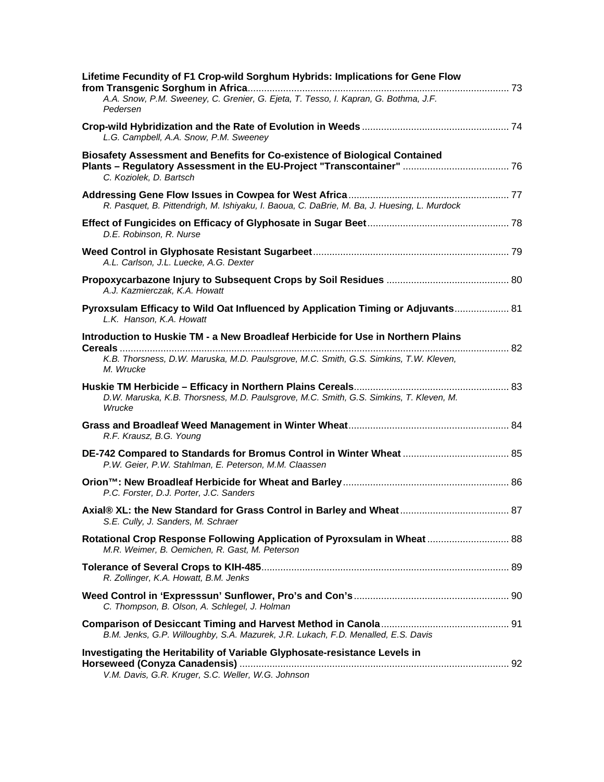| Lifetime Fecundity of F1 Crop-wild Sorghum Hybrids: Implications for Gene Flow<br>A.A. Snow, P.M. Sweeney, C. Grenier, G. Ejeta, T. Tesso, I. Kapran, G. Bothma, J.F.<br>Pedersen |  |
|-----------------------------------------------------------------------------------------------------------------------------------------------------------------------------------|--|
| L.G. Campbell, A.A. Snow, P.M. Sweeney                                                                                                                                            |  |
| Biosafety Assessment and Benefits for Co-existence of Biological Contained<br>C. Koziolek, D. Bartsch                                                                             |  |
| R. Pasquet, B. Pittendrigh, M. Ishiyaku, I. Baoua, C. DaBrie, M. Ba, J. Huesing, L. Murdock                                                                                       |  |
| D.E. Robinson, R. Nurse                                                                                                                                                           |  |
| A.L. Carlson, J.L. Luecke, A.G. Dexter                                                                                                                                            |  |
| A.J. Kazmierczak, K.A. Howatt                                                                                                                                                     |  |
| Pyroxsulam Efficacy to Wild Oat Influenced by Application Timing or Adjuvants 81<br>L.K. Hanson, K.A. Howatt                                                                      |  |
| Introduction to Huskie TM - a New Broadleaf Herbicide for Use in Northern Plains                                                                                                  |  |
| K.B. Thorsness, D.W. Maruska, M.D. Paulsgrove, M.C. Smith, G.S. Simkins, T.W. Kleven,<br>M. Wrucke                                                                                |  |
| D.W. Maruska, K.B. Thorsness, M.D. Paulsgrove, M.C. Smith, G.S. Simkins, T. Kleven, M.<br>Wrucke                                                                                  |  |
| R.F. Krausz, B.G. Young                                                                                                                                                           |  |
| P.W. Geier, P.W. Stahlman, E. Peterson, M.M. Claassen                                                                                                                             |  |
| P.C. Forster, D.J. Porter, J.C. Sanders                                                                                                                                           |  |
| S.E. Cully, J. Sanders, M. Schraer                                                                                                                                                |  |
| Rotational Crop Response Following Application of Pyroxsulam in Wheat  88<br>M.R. Weimer, B. Oemichen, R. Gast, M. Peterson                                                       |  |
| R. Zollinger, K.A. Howatt, B.M. Jenks                                                                                                                                             |  |
| C. Thompson, B. Olson, A. Schlegel, J. Holman                                                                                                                                     |  |
| B.M. Jenks, G.P. Willoughby, S.A. Mazurek, J.R. Lukach, F.D. Menalled, E.S. Davis                                                                                                 |  |
| Investigating the Heritability of Variable Glyphosate-resistance Levels in                                                                                                        |  |
| V.M. Davis, G.R. Kruger, S.C. Weller, W.G. Johnson                                                                                                                                |  |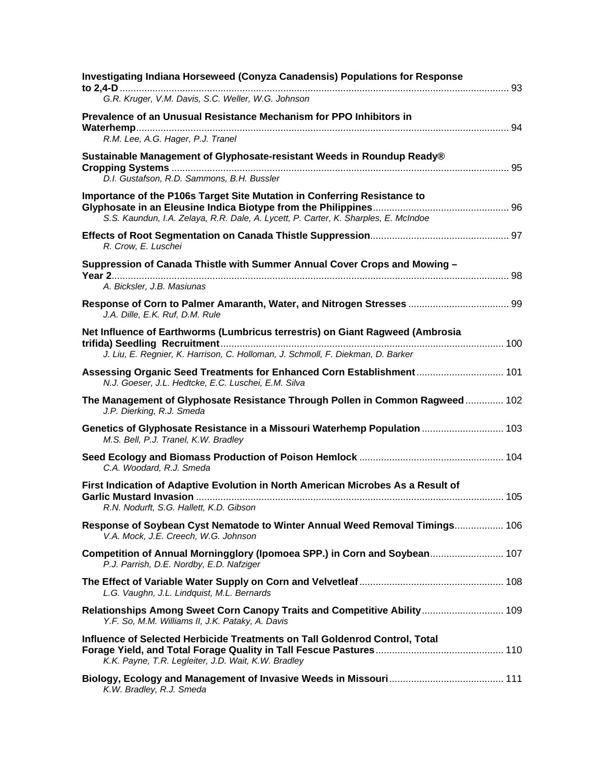| <b>Investigating Indiana Horseweed (Conyza Canadensis) Populations for Response</b>                                                                              |  |
|------------------------------------------------------------------------------------------------------------------------------------------------------------------|--|
| G.R. Kruger, V.M. Davis, S.C. Weller, W.G. Johnson                                                                                                               |  |
| Prevalence of an Unusual Resistance Mechanism for PPO Inhibitors in<br>R.M. Lee, A.G. Hager, P.J. Tranel                                                         |  |
| Sustainable Management of Glyphosate-resistant Weeds in Roundup Ready®<br>D.I. Gustafson, R.D. Sammons, B.H. Bussler                                             |  |
| Importance of the P106s Target Site Mutation in Conferring Resistance to<br>S.S. Kaundun, I.A. Zelaya, R.R. Dale, A. Lycett, P. Carter, K. Sharples, E. McIndoe  |  |
| R. Crow, E. Luschei                                                                                                                                              |  |
| Suppression of Canada Thistle with Summer Annual Cover Crops and Mowing -<br>A. Bicksler, J.B. Masiunas                                                          |  |
| J.A. Dille, E.K. Ruf, D.M. Rule                                                                                                                                  |  |
| Net Influence of Earthworms (Lumbricus terrestris) on Giant Ragweed (Ambrosia<br>J. Liu, E. Regnier, K. Harrison, C. Holloman, J. Schmoll, F. Diekman, D. Barker |  |
| Assessing Organic Seed Treatments for Enhanced Corn Establishment 101<br>N.J. Goeser, J.L. Hedtcke, E.C. Luschei, E.M. Silva                                     |  |
| The Management of Glyphosate Resistance Through Pollen in Common Ragweed 102<br>J.P. Dierking, R.J. Smeda                                                        |  |
| Genetics of Glyphosate Resistance in a Missouri Waterhemp Population  103<br>M.S. Bell, P.J. Tranel, K.W. Bradley                                                |  |
| C.A. Woodard, R.J. Smeda                                                                                                                                         |  |
| First Indication of Adaptive Evolution in North American Microbes As a Result of<br>R.N. Nodurft, S.G. Hallett, K.D. Gibson                                      |  |
| Response of Soybean Cyst Nematode to Winter Annual Weed Removal Timings 106<br>V.A. Mock, J.E. Creech, W.G. Johnson                                              |  |
| Competition of Annual Morningglory (Ipomoea SPP.) in Corn and Soybean 107<br>P.J. Parrish, D.E. Nordby, E.D. Nafziger                                            |  |
| L.G. Vaughn, J.L. Lindquist, M.L. Bernards                                                                                                                       |  |
| Relationships Among Sweet Corn Canopy Traits and Competitive Ability 109<br>Y.F. So, M.M. Williams II, J.K. Pataky, A. Davis                                     |  |
| Influence of Selected Herbicide Treatments on Tall Goldenrod Control, Total<br>K.K. Payne, T.R. Legleiter, J.D. Wait, K.W. Bradley                               |  |
| K.W. Bradley, R.J. Smeda                                                                                                                                         |  |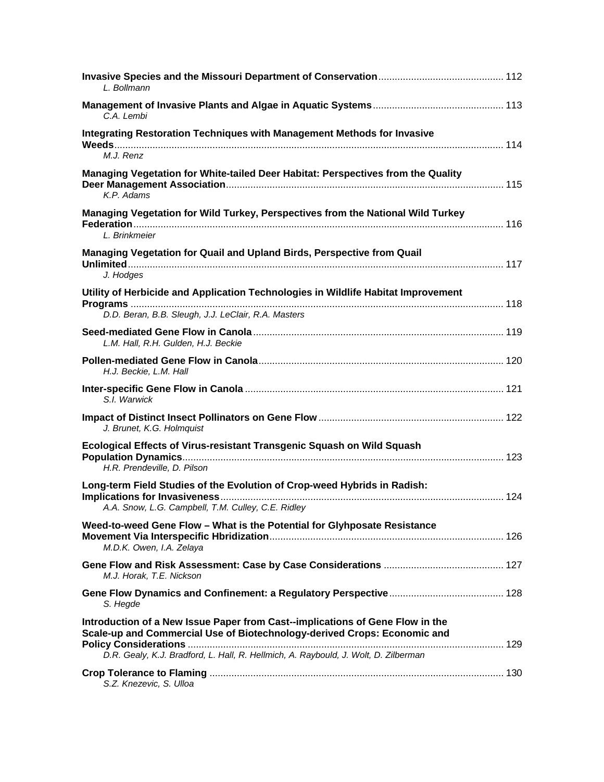| L. Bollmann                                                                                                                                                                                                                                      |  |
|--------------------------------------------------------------------------------------------------------------------------------------------------------------------------------------------------------------------------------------------------|--|
| C.A. Lembi                                                                                                                                                                                                                                       |  |
| <b>Integrating Restoration Techniques with Management Methods for Invasive</b><br>M.J. Renz                                                                                                                                                      |  |
| Managing Vegetation for White-tailed Deer Habitat: Perspectives from the Quality<br>K.P. Adams                                                                                                                                                   |  |
| Managing Vegetation for Wild Turkey, Perspectives from the National Wild Turkey<br>L. Brinkmeier                                                                                                                                                 |  |
| Managing Vegetation for Quail and Upland Birds, Perspective from Quail<br>J. Hodges                                                                                                                                                              |  |
| Utility of Herbicide and Application Technologies in Wildlife Habitat Improvement<br>D.D. Beran, B.B. Sleugh, J.J. LeClair, R.A. Masters                                                                                                         |  |
| L.M. Hall, R.H. Gulden, H.J. Beckie                                                                                                                                                                                                              |  |
| H.J. Beckie, L.M. Hall                                                                                                                                                                                                                           |  |
| S.I. Warwick                                                                                                                                                                                                                                     |  |
| J. Brunet, K.G. Holmquist                                                                                                                                                                                                                        |  |
| Ecological Effects of Virus-resistant Transgenic Squash on Wild Squash<br>H.R. Prendeville, D. Pilson                                                                                                                                            |  |
| Long-term Field Studies of the Evolution of Crop-weed Hybrids in Radish:<br>A.A. Snow, L.G. Campbell, T.M. Culley, C.E. Ridley                                                                                                                   |  |
| Weed-to-weed Gene Flow - What is the Potential for Glyhposate Resistance<br>M.D.K. Owen, I.A. Zelaya                                                                                                                                             |  |
| M.J. Horak, T.E. Nickson                                                                                                                                                                                                                         |  |
| S. Hegde                                                                                                                                                                                                                                         |  |
| Introduction of a New Issue Paper from Cast--implications of Gene Flow in the<br>Scale-up and Commercial Use of Biotechnology-derived Crops: Economic and<br>D.R. Gealy, K.J. Bradford, L. Hall, R. Hellmich, A. Raybould, J. Wolt, D. Zilberman |  |
| S.Z. Knezevic, S. Ulloa                                                                                                                                                                                                                          |  |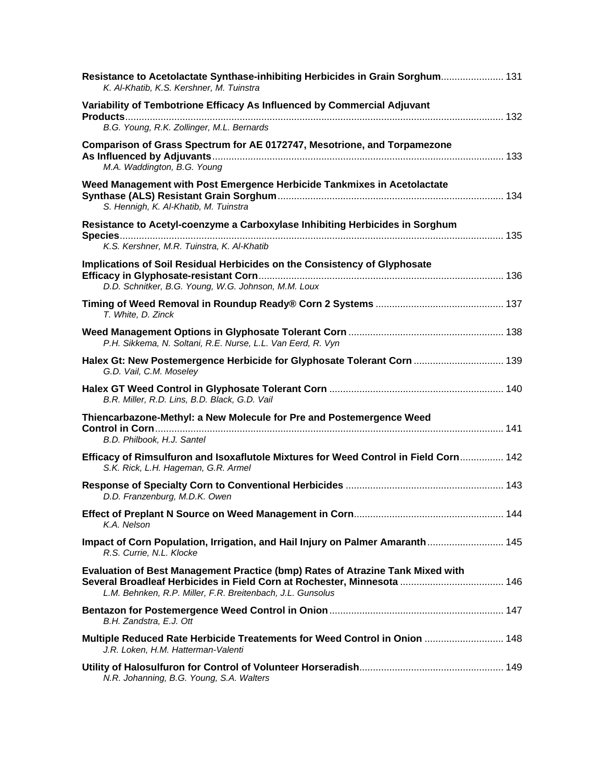| Resistance to Acetolactate Synthase-inhibiting Herbicides in Grain Sorghum 131<br>K. Al-Khatib, K.S. Kershner, M. Tuinstra                                                                                              |  |
|-------------------------------------------------------------------------------------------------------------------------------------------------------------------------------------------------------------------------|--|
| Variability of Tembotrione Efficacy As Influenced by Commercial Adjuvant                                                                                                                                                |  |
| B.G. Young, R.K. Zollinger, M.L. Bernards                                                                                                                                                                               |  |
| Comparison of Grass Spectrum for AE 0172747, Mesotrione, and Torpamezone<br>M.A. Waddington, B.G. Young                                                                                                                 |  |
| Weed Management with Post Emergence Herbicide Tankmixes in Acetolactate<br>S. Hennigh, K. Al-Khatib, M. Tuinstra                                                                                                        |  |
| Resistance to Acetyl-coenzyme a Carboxylase Inhibiting Herbicides in Sorghum                                                                                                                                            |  |
| K.S. Kershner, M.R. Tuinstra, K. Al-Khatib                                                                                                                                                                              |  |
| Implications of Soil Residual Herbicides on the Consistency of Glyphosate                                                                                                                                               |  |
| D.D. Schnitker, B.G. Young, W.G. Johnson, M.M. Loux                                                                                                                                                                     |  |
| T. White, D. Zinck                                                                                                                                                                                                      |  |
| P.H. Sikkema, N. Soltani, R.E. Nurse, L.L. Van Eerd, R. Vyn                                                                                                                                                             |  |
| Halex Gt: New Postemergence Herbicide for Glyphosate Tolerant Corn  139<br>G.D. Vail, C.M. Moseley                                                                                                                      |  |
| B.R. Miller, R.D. Lins, B.D. Black, G.D. Vail                                                                                                                                                                           |  |
| Thiencarbazone-Methyl: a New Molecule for Pre and Postemergence Weed                                                                                                                                                    |  |
| B.D. Philbook, H.J. Santel                                                                                                                                                                                              |  |
| Efficacy of Rimsulfuron and Isoxaflutole Mixtures for Weed Control in Field Corn 142<br>S.K. Rick, L.H. Hageman, G.R. Armel                                                                                             |  |
| D.D. Franzenburg, M.D.K. Owen                                                                                                                                                                                           |  |
| K.A. Nelson                                                                                                                                                                                                             |  |
| Impact of Corn Population, Irrigation, and Hail Injury on Palmer Amaranth 145<br>R.S. Currie, N.L. Klocke                                                                                                               |  |
| Evaluation of Best Management Practice (bmp) Rates of Atrazine Tank Mixed with<br>Several Broadleaf Herbicides in Field Corn at Rochester, Minnesota  146<br>L.M. Behnken, R.P. Miller, F.R. Breitenbach, J.L. Gunsolus |  |
| B.H. Zandstra, E.J. Ott                                                                                                                                                                                                 |  |
| Multiple Reduced Rate Herbicide Treatements for Weed Control in Onion  148<br>J.R. Loken, H.M. Hatterman-Valenti                                                                                                        |  |
| N.R. Johanning, B.G. Young, S.A. Walters                                                                                                                                                                                |  |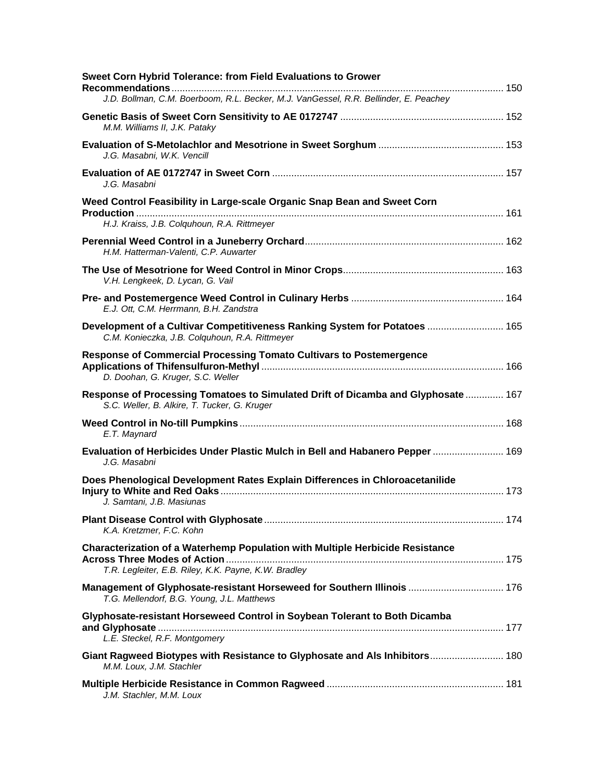| Sweet Corn Hybrid Tolerance: from Field Evaluations to Grower<br>J.D. Bollman, C.M. Boerboom, R.L. Becker, M.J. VanGessel, R.R. Bellinder, E. Peachey |  |
|-------------------------------------------------------------------------------------------------------------------------------------------------------|--|
| M.M. Williams II, J.K. Pataky                                                                                                                         |  |
| J.G. Masabni, W.K. Vencill                                                                                                                            |  |
| J.G. Masabni                                                                                                                                          |  |
| Weed Control Feasibility in Large-scale Organic Snap Bean and Sweet Corn                                                                              |  |
| H.J. Kraiss, J.B. Colquhoun, R.A. Rittmeyer                                                                                                           |  |
| H.M. Hatterman-Valenti, C.P. Auwarter                                                                                                                 |  |
| V.H. Lengkeek, D. Lycan, G. Vail                                                                                                                      |  |
| E.J. Ott, C.M. Herrmann, B.H. Zandstra                                                                                                                |  |
| Development of a Cultivar Competitiveness Ranking System for Potatoes  165<br>C.M. Konieczka, J.B. Colguhoun, R.A. Rittmeyer                          |  |
| Response of Commercial Processing Tomato Cultivars to Postemergence<br>D. Doohan, G. Kruger, S.C. Weller                                              |  |
| Response of Processing Tomatoes to Simulated Drift of Dicamba and Glyphosate  167<br>S.C. Weller, B. Alkire, T. Tucker, G. Kruger                     |  |
| E.T. Maynard                                                                                                                                          |  |
| Evaluation of Herbicides Under Plastic Mulch in Bell and Habanero Pepper  169<br>J.G. Masabni                                                         |  |
| Does Phenological Development Rates Explain Differences in Chloroacetanilide<br>J. Samtani, J.B. Masiunas                                             |  |
| K.A. Kretzmer, F.C. Kohn                                                                                                                              |  |
| <b>Characterization of a Waterhemp Population with Multiple Herbicide Resistance</b><br>T.R. Legleiter, E.B. Riley, K.K. Payne, K.W. Bradley          |  |
| Management of Glyphosate-resistant Horseweed for Southern Illinois  176<br>T.G. Mellendorf, B.G. Young, J.L. Matthews                                 |  |
| Glyphosate-resistant Horseweed Control in Soybean Tolerant to Both Dicamba<br>L.E. Steckel, R.F. Montgomery                                           |  |
| Giant Ragweed Biotypes with Resistance to Glyphosate and Als Inhibitors 180<br>M.M. Loux, J.M. Stachler                                               |  |
| J.M. Stachler, M.M. Loux                                                                                                                              |  |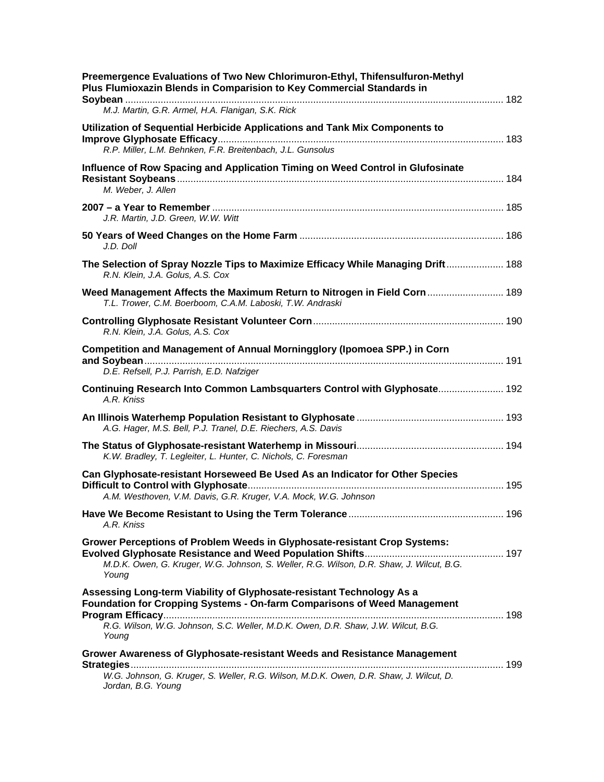| Preemergence Evaluations of Two New Chlorimuron-Ethyl, Thifensulfuron-Methyl<br>Plus Flumioxazin Blends in Comparision to Key Commercial Standards in                                                                                           |  |
|-------------------------------------------------------------------------------------------------------------------------------------------------------------------------------------------------------------------------------------------------|--|
| M.J. Martin, G.R. Armel, H.A. Flanigan, S.K. Rick                                                                                                                                                                                               |  |
| Utilization of Sequential Herbicide Applications and Tank Mix Components to<br>R.P. Miller, L.M. Behnken, F.R. Breitenbach, J.L. Gunsolus                                                                                                       |  |
| Influence of Row Spacing and Application Timing on Weed Control in Glufosinate<br>M. Weber, J. Allen                                                                                                                                            |  |
| J.R. Martin, J.D. Green, W.W. Witt                                                                                                                                                                                                              |  |
| J.D. Doll                                                                                                                                                                                                                                       |  |
| The Selection of Spray Nozzle Tips to Maximize Efficacy While Managing Drift 188<br>R.N. Klein, J.A. Golus, A.S. Cox                                                                                                                            |  |
| Weed Management Affects the Maximum Return to Nitrogen in Field Corn  189<br>T.L. Trower, C.M. Boerboom, C.A.M. Laboski, T.W. Andraski                                                                                                          |  |
| R.N. Klein, J.A. Golus, A.S. Cox                                                                                                                                                                                                                |  |
| <b>Competition and Management of Annual Morningglory (Ipomoea SPP.) in Corn</b><br>D.E. Refsell, P.J. Parrish, E.D. Nafziger                                                                                                                    |  |
| Continuing Research Into Common Lambsquarters Control with Glyphosate 192<br>A.R. Kniss                                                                                                                                                         |  |
| A.G. Hager, M.S. Bell, P.J. Tranel, D.E. Riechers, A.S. Davis                                                                                                                                                                                   |  |
| K.W. Bradley, T. Legleiter, L. Hunter, C. Nichols, C. Foresman                                                                                                                                                                                  |  |
| Can Glyphosate-resistant Horseweed Be Used As an Indicator for Other Species<br>A.M. Westhoven, V.M. Davis, G.R. Kruger, V.A. Mock, W.G. Johnson                                                                                                |  |
| A.R. Kniss                                                                                                                                                                                                                                      |  |
| <b>Grower Perceptions of Problem Weeds in Glyphosate-resistant Crop Systems:</b><br>M.D.K. Owen, G. Kruger, W.G. Johnson, S. Weller, R.G. Wilson, D.R. Shaw, J. Wilcut, B.G.<br>Young                                                           |  |
| Assessing Long-term Viability of Glyphosate-resistant Technology As a<br>Foundation for Cropping Systems - On-farm Comparisons of Weed Management<br>R.G. Wilson, W.G. Johnson, S.C. Weller, M.D.K. Owen, D.R. Shaw, J.W. Wilcut, B.G.<br>Young |  |
| Grower Awareness of Glyphosate-resistant Weeds and Resistance Management<br>Strategies<br>W.G. Johnson, G. Kruger, S. Weller, R.G. Wilson, M.D.K. Owen, D.R. Shaw, J. Wilcut, D.<br>Jordan, B.G. Young                                          |  |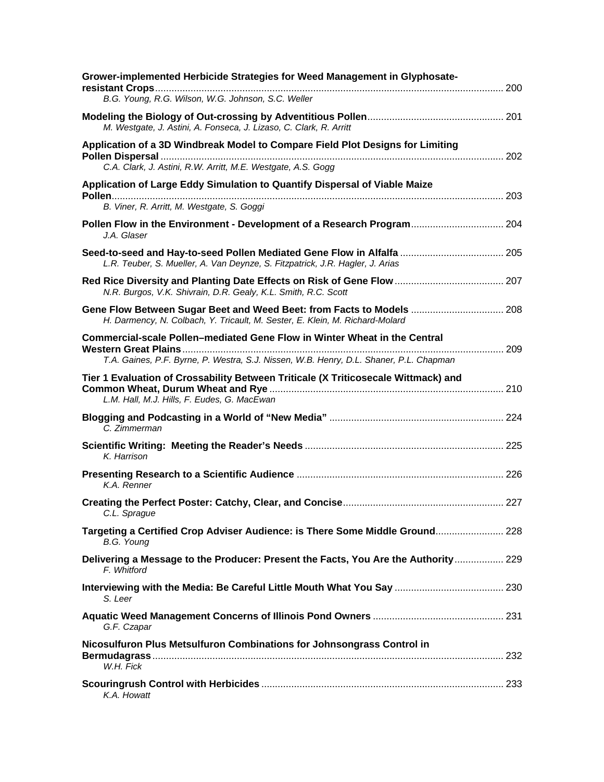| Grower-implemented Herbicide Strategies for Weed Management in Glyphosate-<br>B.G. Young, R.G. Wilson, W.G. Johnson, S.C. Weller                                    |  |
|---------------------------------------------------------------------------------------------------------------------------------------------------------------------|--|
| M. Westgate, J. Astini, A. Fonseca, J. Lizaso, C. Clark, R. Arritt                                                                                                  |  |
| Application of a 3D Windbreak Model to Compare Field Plot Designs for Limiting<br>C.A. Clark, J. Astini, R.W. Arritt, M.E. Westgate, A.S. Gogg                      |  |
| Application of Large Eddy Simulation to Quantify Dispersal of Viable Maize<br>B. Viner, R. Arritt, M. Westgate, S. Goggi                                            |  |
| Pollen Flow in the Environment - Development of a Research Program 204<br>J.A. Glaser                                                                               |  |
| L.R. Teuber, S. Mueller, A. Van Deynze, S. Fitzpatrick, J.R. Hagler, J. Arias                                                                                       |  |
| N.R. Burgos, V.K. Shivrain, D.R. Gealy, K.L. Smith, R.C. Scott                                                                                                      |  |
| Gene Flow Between Sugar Beet and Weed Beet: from Facts to Models  208<br>H. Darmency, N. Colbach, Y. Tricault, M. Sester, E. Klein, M. Richard-Molard               |  |
| Commercial-scale Pollen–mediated Gene Flow in Winter Wheat in the Central<br>T.A. Gaines, P.F. Byrne, P. Westra, S.J. Nissen, W.B. Henry, D.L. Shaner, P.L. Chapman |  |
| Tier 1 Evaluation of Crossability Between Triticale (X Triticosecale Wittmack) and<br>L.M. Hall, M.J. Hills, F. Eudes, G. MacEwan                                   |  |
| C. Zimmerman                                                                                                                                                        |  |
| K. Harrison                                                                                                                                                         |  |
| K.A. Renner                                                                                                                                                         |  |
| C.L. Sprague                                                                                                                                                        |  |
| Targeting a Certified Crop Adviser Audience: is There Some Middle Ground 228<br>B.G. Young                                                                          |  |
| Delivering a Message to the Producer: Present the Facts, You Are the Authority 229<br>F. Whitford                                                                   |  |
| S. Leer                                                                                                                                                             |  |
| G.F. Czapar                                                                                                                                                         |  |
| Nicosulfuron Plus Metsulfuron Combinations for Johnsongrass Control in<br>W.H. Fick                                                                                 |  |
| K.A. Howatt                                                                                                                                                         |  |